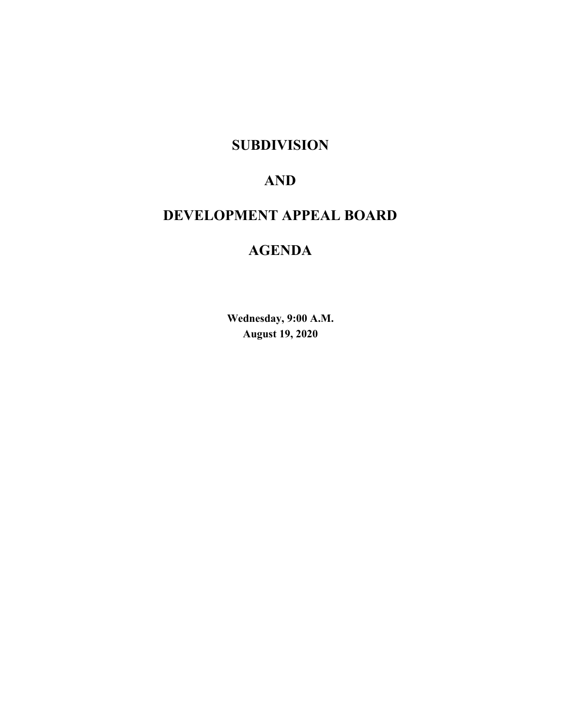## **SUBDIVISION**

# **AND**

# **DEVELOPMENT APPEAL BOARD**

# **AGENDA**

**Wednesday, 9:00 A.M. August 19, 2020**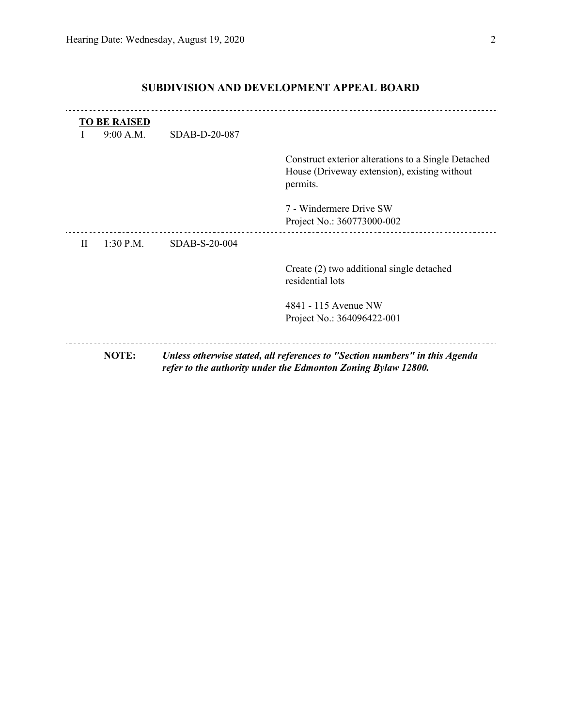|              | <b>TO BE RAISED</b> |               |                                                                                                                                              |
|--------------|---------------------|---------------|----------------------------------------------------------------------------------------------------------------------------------------------|
|              | 9:00 A.M.           | SDAB-D-20-087 |                                                                                                                                              |
|              |                     |               | Construct exterior alterations to a Single Detached<br>House (Driveway extension), existing without<br>permits.                              |
|              |                     |               | 7 - Windermere Drive SW<br>Project No.: 360773000-002                                                                                        |
| $\mathbf{I}$ | $1:30$ P.M.         | SDAB-S-20-004 |                                                                                                                                              |
|              |                     |               | Create (2) two additional single detached<br>residential lots                                                                                |
|              |                     |               | 4841 - 115 Avenue NW                                                                                                                         |
|              |                     |               | Project No.: 364096422-001                                                                                                                   |
|              |                     |               |                                                                                                                                              |
|              | NOTE:               |               | Unless otherwise stated, all references to "Section numbers" in this Agenda<br>refer to the authority under the Edmonton Zoning Bylaw 12800. |

### **SUBDIVISION AND DEVELOPMENT APPEAL BOARD**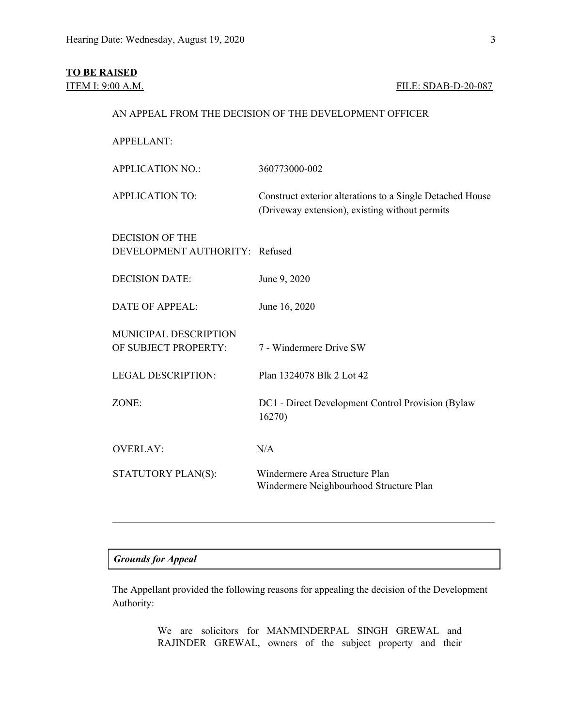#### **TO BE RAISED**

### ITEM I: 9:00 A.M. FILE: SDAB-D-20-087

#### AN APPEAL FROM THE DECISION OF THE DEVELOPMENT OFFICER

APPELLANT: APPLICATION NO.: 360773000-002 APPLICATION TO: Construct exterior alterations to a Single Detached House (Driveway extension), existing without permits DECISION OF THE DEVELOPMENT AUTHORITY: Refused DECISION DATE: June 9, 2020 DATE OF APPEAL: June 16, 2020 MUNICIPAL DESCRIPTION OF SUBJECT PROPERTY: 7 - Windermere Drive SW LEGAL DESCRIPTION: Plan 1324078 Blk 2 Lot 42 ZONE: DC1 - Direct Development Control Provision (Bylaw 16270) OVERLAY: N/A STATUTORY PLAN(S): Windermere Area Structure Plan Windermere Neighbourhood Structure Plan

#### *Grounds for Appeal*

The Appellant provided the following reasons for appealing the decision of the Development Authority:

> We are solicitors for MANMINDERPAL SINGH GREWAL and RAJINDER GREWAL, owners of the subject property and their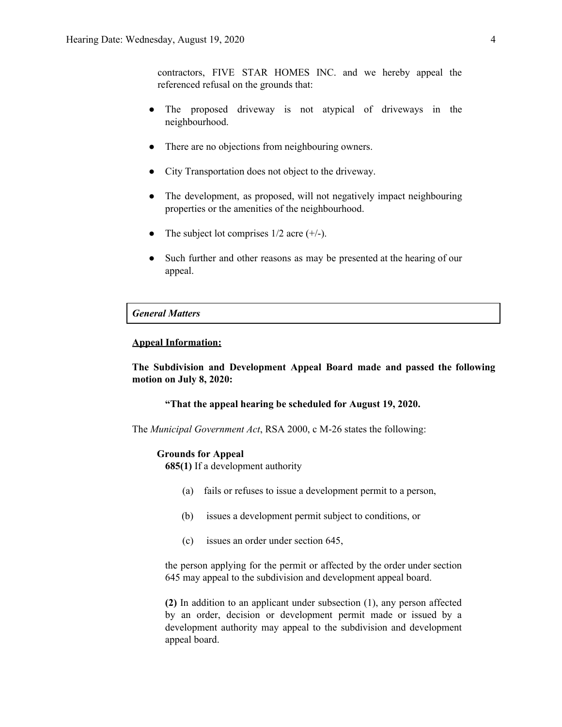contractors, FIVE STAR HOMES INC. and we hereby appeal the referenced refusal on the grounds that:

- The proposed driveway is not atypical of driveways in the neighbourhood.
- There are no objections from neighbouring owners.
- City Transportation does not object to the driveway.
- The development, as proposed, will not negatively impact neighbouring properties or the amenities of the neighbourhood.
- The subject lot comprises  $1/2$  acre  $(+/-)$ .
- Such further and other reasons as may be presented at the hearing of our appeal.

#### *General Matters*

#### **Appeal Information:**

**The Subdivision and Development Appeal Board made and passed the following motion on July 8, 2020:**

#### **"That the appeal hearing be scheduled for August 19, 2020.**

The *Municipal Government Act*, RSA 2000, c M-26 states the following:

#### **Grounds for Appeal**

**685(1)** If a development authority

- (a) fails or refuses to issue a development permit to a person,
- (b) issues a development permit subject to conditions, or
- (c) issues an order under section 645,

the person applying for the permit or affected by the order under section 645 may appeal to the subdivision and development appeal board.

**(2)** In addition to an applicant under subsection (1), any person affected by an order, decision or development permit made or issued by a development authority may appeal to the subdivision and development appeal board.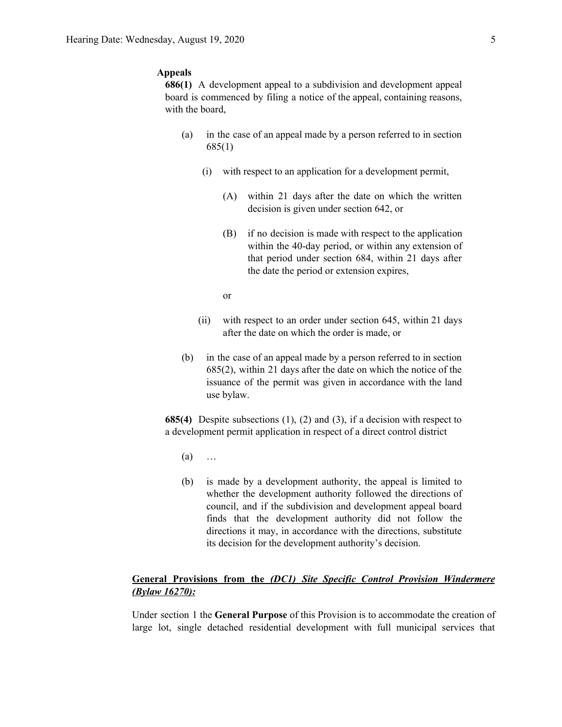#### **Appeals**

**686(1)** A development appeal to a subdivision and development appeal board is commenced by filing a notice of the appeal, containing reasons, with the board,

- (a) in the case of an appeal made by a person referred to in section 685(1)
	- (i) with respect to an application for a development permit,
		- (A) within 21 days after the date on which the written decision is given under section 642, or
		- (B) if no decision is made with respect to the application within the 40-day period, or within any extension of that period under section 684, within 21 days after the date the period or extension expires,
		- or
	- (ii) with respect to an order under section 645, within 21 days after the date on which the order is made, or
- (b) in the case of an appeal made by a person referred to in section 685(2), within 21 days after the date on which the notice of the issuance of the permit was given in accordance with the land use bylaw.

**685(4)** Despite subsections (1), (2) and (3), if a decision with respect to a development permit application in respect of a direct control district

- $(a)$  …
- (b) is made by a development authority, the appeal is limited to whether the development authority followed the directions of council, and if the subdivision and development appeal board finds that the development authority did not follow the directions it may, in accordance with the directions, substitute its decision for the development authority's decision.

### **General Provisions from the** *(DC1) Site Specific Control Provision Windermere (Bylaw 16270):*

Under section 1 the **General Purpose** of this Provision is to accommodate the creation of large lot, single detached residential development with full municipal services that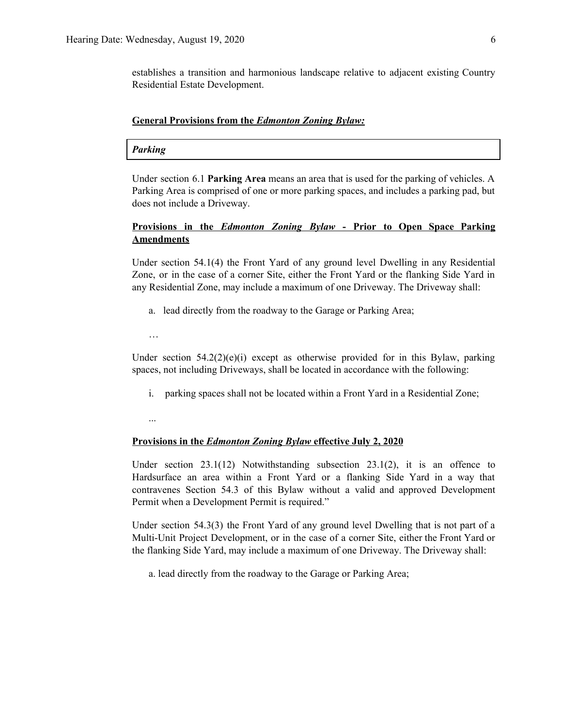establishes a transition and harmonious landscape relative to adjacent existing Country Residential Estate Development.

#### **General Provisions from the** *Edmonton Zoning Bylaw:*

#### *Parking*

Under section 6.1 **Parking Area** means an area that is used for the parking of vehicles. A Parking Area is comprised of one or more parking spaces, and includes a parking pad, but does not include a Driveway.

### **Provisions in the** *Edmonton Zoning Bylaw* **- Prior to Open Space Parking Amendments**

Under section 54.1(4) the Front Yard of any ground level Dwelling in any Residential Zone, or in the case of a corner Site, either the Front Yard or the flanking Side Yard in any Residential Zone, may include a maximum of one Driveway. The Driveway shall:

- a. lead directly from the roadway to the Garage or Parking Area;
- …

Under section  $54.2(2)(e)(i)$  except as otherwise provided for in this Bylaw, parking spaces, not including Driveways, shall be located in accordance with the following:

- i. parking spaces shall not be located within a Front Yard in a Residential Zone;
- ...

#### **Provisions in the** *Edmonton Zoning Bylaw* **effective July 2, 2020**

Under section  $23.1(12)$  Notwithstanding subsection  $23.1(2)$ , it is an offence to Hardsurface an area within a Front Yard or a flanking Side Yard in a way that contravenes Section 54.3 of this Bylaw without a valid and approved Development Permit when a Development Permit is required."

Under section 54.3(3) the Front Yard of any ground level Dwelling that is not part of a Multi-Unit Project Development, or in the case of a corner Site, either the Front Yard or the flanking Side Yard, may include a maximum of one Driveway. The Driveway shall:

a. lead directly from the roadway to the Garage or Parking Area;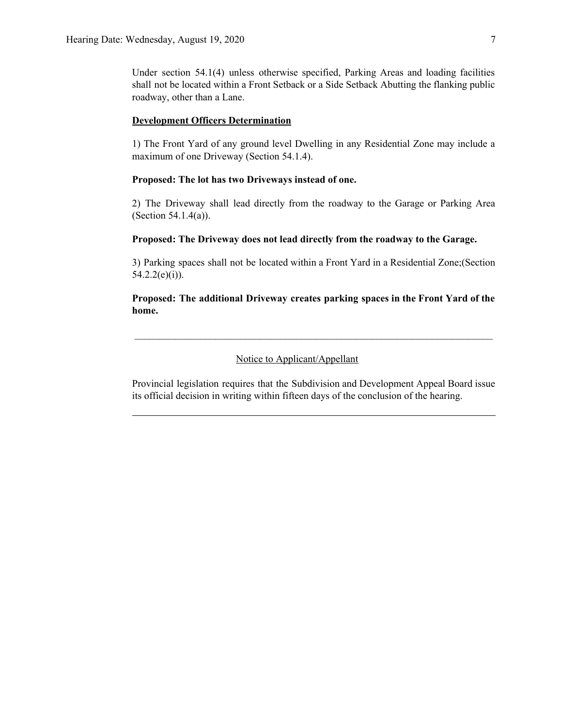Under section 54.1(4) unless otherwise specified, Parking Areas and loading facilities shall not be located within a Front Setback or a Side Setback Abutting the flanking public roadway, other than a Lane.

#### **Development Officers Determination**

1) The Front Yard of any ground level Dwelling in any Residential Zone may include a maximum of one Driveway (Section 54.1.4).

#### **Proposed: The lot has two Driveways instead of one.**

2) The Driveway shall lead directly from the roadway to the Garage or Parking Area (Section 54.1.4(a)).

#### **Proposed: The Driveway does not lead directly from the roadway to the Garage.**

3) Parking spaces shall not be located within a Front Yard in a Residential Zone;(Section  $54.2.2(e)(i)$ ).

### **Proposed: The additional Driveway creates parking spaces in the Front Yard of the home.**

 $\mathcal{L}_\text{max} = \mathcal{L}_\text{max} = \mathcal{L}_\text{max} = \mathcal{L}_\text{max} = \mathcal{L}_\text{max} = \mathcal{L}_\text{max} = \mathcal{L}_\text{max} = \mathcal{L}_\text{max} = \mathcal{L}_\text{max} = \mathcal{L}_\text{max} = \mathcal{L}_\text{max} = \mathcal{L}_\text{max} = \mathcal{L}_\text{max} = \mathcal{L}_\text{max} = \mathcal{L}_\text{max} = \mathcal{L}_\text{max} = \mathcal{L}_\text{max} = \mathcal{L}_\text{max} = \mathcal{$ 

#### Notice to Applicant/Appellant

Provincial legislation requires that the Subdivision and Development Appeal Board issue its official decision in writing within fifteen days of the conclusion of the hearing.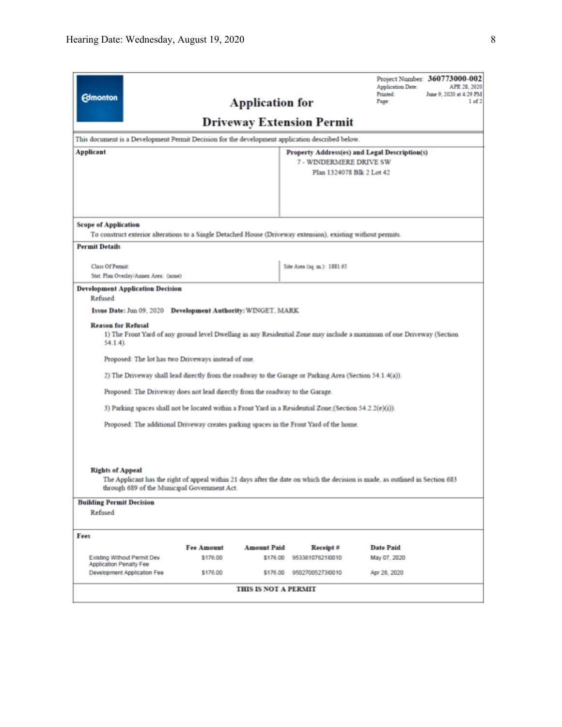| <b>Edmonton</b>                                                                                                                                                                                                                                                                                                                                                                                                                                                                                                                                                                                                              |                   | <b>Application for</b> |                                                      | Application Date:<br>Printed:<br>Page:        | Project Number: 360773000-002<br>APR 28, 2020<br>June 9, 2020 at 4:29 PM<br>1 of 2 |
|------------------------------------------------------------------------------------------------------------------------------------------------------------------------------------------------------------------------------------------------------------------------------------------------------------------------------------------------------------------------------------------------------------------------------------------------------------------------------------------------------------------------------------------------------------------------------------------------------------------------------|-------------------|------------------------|------------------------------------------------------|-----------------------------------------------|------------------------------------------------------------------------------------|
| <b>Driveway Extension Permit</b>                                                                                                                                                                                                                                                                                                                                                                                                                                                                                                                                                                                             |                   |                        |                                                      |                                               |                                                                                    |
| This document is a Development Permit Decision for the development application described below.                                                                                                                                                                                                                                                                                                                                                                                                                                                                                                                              |                   |                        |                                                      |                                               |                                                                                    |
| Applicant                                                                                                                                                                                                                                                                                                                                                                                                                                                                                                                                                                                                                    |                   |                        |                                                      | Property Address(es) and Legal Description(s) |                                                                                    |
|                                                                                                                                                                                                                                                                                                                                                                                                                                                                                                                                                                                                                              |                   |                        | 7 - WINDERMERE DRIVE SW<br>Plan 1324078 Blk 2 Lot 42 |                                               |                                                                                    |
|                                                                                                                                                                                                                                                                                                                                                                                                                                                                                                                                                                                                                              |                   |                        |                                                      |                                               |                                                                                    |
|                                                                                                                                                                                                                                                                                                                                                                                                                                                                                                                                                                                                                              |                   |                        |                                                      |                                               |                                                                                    |
|                                                                                                                                                                                                                                                                                                                                                                                                                                                                                                                                                                                                                              |                   |                        |                                                      |                                               |                                                                                    |
| <b>Scope of Application</b>                                                                                                                                                                                                                                                                                                                                                                                                                                                                                                                                                                                                  |                   |                        |                                                      |                                               |                                                                                    |
| To construct exterior alterations to a Single Detached House (Driveway extension), existing without permits.                                                                                                                                                                                                                                                                                                                                                                                                                                                                                                                 |                   |                        |                                                      |                                               |                                                                                    |
| <b>Permit Details</b>                                                                                                                                                                                                                                                                                                                                                                                                                                                                                                                                                                                                        |                   |                        |                                                      |                                               |                                                                                    |
| <b>Class Of Permit:</b>                                                                                                                                                                                                                                                                                                                                                                                                                                                                                                                                                                                                      |                   |                        | Site Area (sq. m.): 1881.65                          |                                               |                                                                                    |
| Stat. Plan Overlay/Annex Area: (none)                                                                                                                                                                                                                                                                                                                                                                                                                                                                                                                                                                                        |                   |                        |                                                      |                                               |                                                                                    |
| <b>Development Application Decision</b><br>Refused                                                                                                                                                                                                                                                                                                                                                                                                                                                                                                                                                                           |                   |                        |                                                      |                                               |                                                                                    |
| Issue Date: Jun 09, 2020 Development Authority: WINGET, MARK                                                                                                                                                                                                                                                                                                                                                                                                                                                                                                                                                                 |                   |                        |                                                      |                                               |                                                                                    |
| <b>Reason for Refusal</b><br>1) The Front Yard of any ground level Dwelling in any Residential Zone may include a maximum of one Driveway (Section<br>$54.1.4$ ).<br>Proposed: The lot has two Driveways instead of one.<br>2) The Driveway shall lead directly from the roadway to the Garage or Parking Area (Section 54.1.4(a)).<br>Proposed: The Driveway does not lead directly from the roadway to the Garage.<br>3) Parking spaces shall not be located within a Front Yard in a Residential Zone: (Section 54.2.2(e)(i)).<br>Proposed: The additional Driveway creates parking spaces in the Front Yard of the home. |                   |                        |                                                      |                                               |                                                                                    |
| <b>Rights of Appeal</b><br>The Applicant has the right of appeal within 21 days after the date on which the decision is made, as outlined in Section 683<br>through 689 of the Municipal Government Act.                                                                                                                                                                                                                                                                                                                                                                                                                     |                   |                        |                                                      |                                               |                                                                                    |
| <b>Building Permit Decision</b>                                                                                                                                                                                                                                                                                                                                                                                                                                                                                                                                                                                              |                   |                        |                                                      |                                               |                                                                                    |
| Refused                                                                                                                                                                                                                                                                                                                                                                                                                                                                                                                                                                                                                      |                   |                        |                                                      |                                               |                                                                                    |
| Fees                                                                                                                                                                                                                                                                                                                                                                                                                                                                                                                                                                                                                         |                   |                        |                                                      |                                               |                                                                                    |
|                                                                                                                                                                                                                                                                                                                                                                                                                                                                                                                                                                                                                              | <b>Fee Amount</b> | <b>Amount Paid</b>     | Receipt#                                             | <b>Date Paid</b>                              |                                                                                    |
| Existing Without Permit Dev<br><b>Application Penalty Fee</b>                                                                                                                                                                                                                                                                                                                                                                                                                                                                                                                                                                | \$176.00          | \$176.00               | 95338107621l0010                                     | May 07, 2020                                  |                                                                                    |
| Development Application Fee                                                                                                                                                                                                                                                                                                                                                                                                                                                                                                                                                                                                  | \$176.00          | \$176.00               | 9502700527310010                                     | Apr 28, 2020                                  |                                                                                    |
|                                                                                                                                                                                                                                                                                                                                                                                                                                                                                                                                                                                                                              |                   |                        |                                                      |                                               |                                                                                    |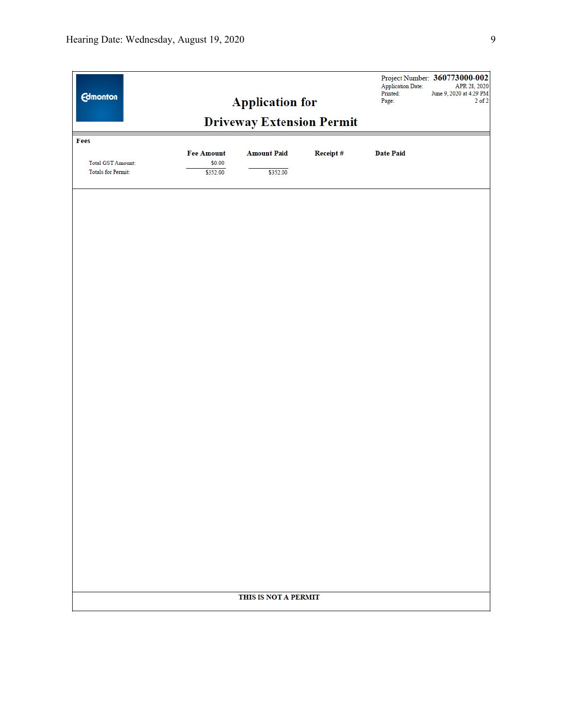| <b>Edmonton</b>                                        |                                  | <b>Application for</b><br><b>Driveway Extension Permit</b> |          | Application Date:<br>Printed:<br>Page: | Project Number: 360773000-002<br>APR 28, 2020<br>June 9, 2020 at 4:29 PM<br>$2$ of $2$ |
|--------------------------------------------------------|----------------------------------|------------------------------------------------------------|----------|----------------------------------------|----------------------------------------------------------------------------------------|
| Fees<br>Total GST Amount:<br><b>Totals for Permit:</b> | Fee Amount<br>\$0.00<br>\$352.00 | <b>Amount Paid</b><br>\$352.00                             | Receipt# | <b>Date Paid</b>                       |                                                                                        |
|                                                        |                                  |                                                            |          |                                        |                                                                                        |
|                                                        |                                  |                                                            |          |                                        |                                                                                        |
|                                                        |                                  |                                                            |          |                                        |                                                                                        |
|                                                        |                                  |                                                            |          |                                        |                                                                                        |
|                                                        |                                  |                                                            |          |                                        |                                                                                        |
|                                                        |                                  |                                                            |          |                                        |                                                                                        |
|                                                        |                                  |                                                            |          |                                        |                                                                                        |
|                                                        |                                  | THIS IS NOT A PERMIT                                       |          |                                        |                                                                                        |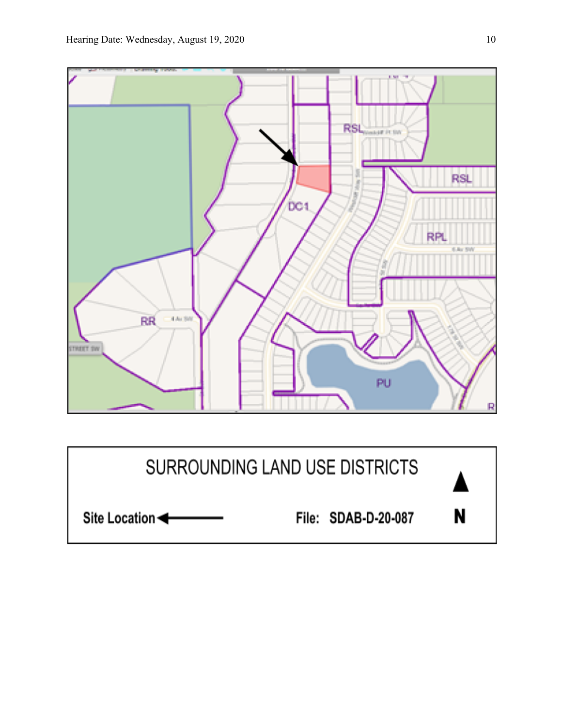

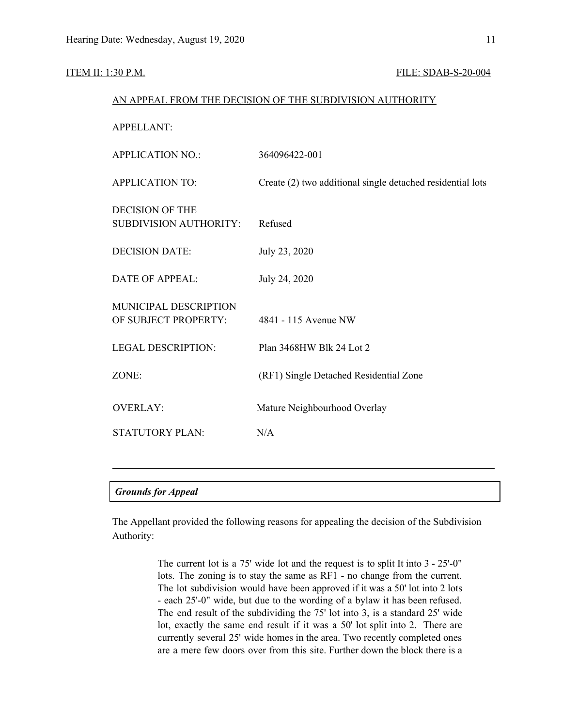#### **ITEM II: 1:30 P.M. FILE: SDAB-S-20-004**

#### AN APPEAL FROM THE DECISION OF THE SUBDIVISION AUTHORITY

| <b>APPELLANT:</b>                                       |                                                            |
|---------------------------------------------------------|------------------------------------------------------------|
| <b>APPLICATION NO.:</b>                                 | 364096422-001                                              |
| <b>APPLICATION TO:</b>                                  | Create (2) two additional single detached residential lots |
| <b>DECISION OF THE</b><br><b>SUBDIVISION AUTHORITY:</b> | Refused                                                    |
| <b>DECISION DATE:</b>                                   | July 23, 2020                                              |
| <b>DATE OF APPEAL:</b>                                  | July 24, 2020                                              |
| MUNICIPAL DESCRIPTION<br>OF SUBJECT PROPERTY:           | 4841 - 115 Avenue NW                                       |
| <b>LEGAL DESCRIPTION:</b>                               | Plan 3468HW Blk 24 Lot 2                                   |
| ZONE:                                                   | (RF1) Single Detached Residential Zone                     |
| <b>OVERLAY:</b>                                         | Mature Neighbourhood Overlay                               |
| <b>STATUTORY PLAN:</b>                                  | N/A                                                        |
|                                                         |                                                            |
|                                                         |                                                            |

#### *Grounds for Appeal*

The Appellant provided the following reasons for appealing the decision of the Subdivision Authority:

> The current lot is a 75' wide lot and the request is to split It into 3 - 25'-0" lots. The zoning is to stay the same as RF1 - no change from the current. The lot subdivision would have been approved if it was a 50' lot into 2 lots - each 25'-0" wide, but due to the wording of a bylaw it has been refused. The end result of the subdividing the 75' lot into 3, is a standard 25' wide lot, exactly the same end result if it was a 50' lot split into 2. There are currently several 25' wide homes in the area. Two recently completed ones are a mere few doors over from this site. Further down the block there is a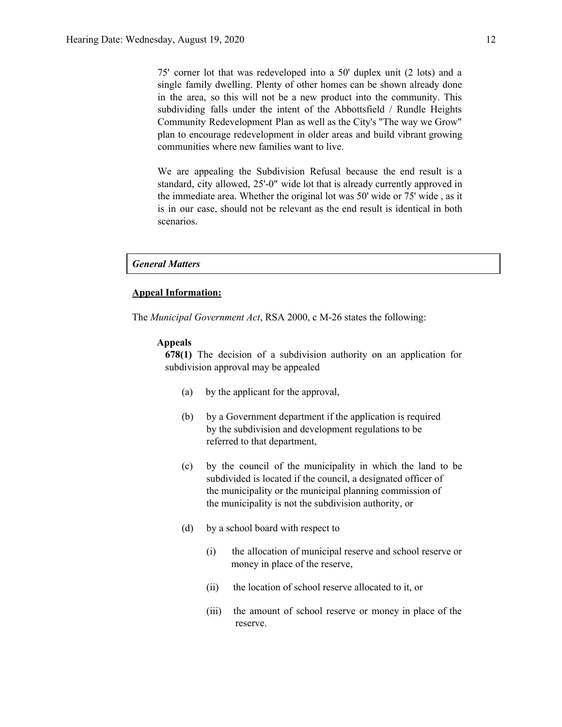75' corner lot that was redeveloped into a 50' duplex unit (2 lots) and a single family dwelling. Plenty of other homes can be shown already done in the area, so this will not be a new product into the community. This subdividing falls under the intent of the Abbottsfield / Rundle Heights Community Redevelopment Plan as well as the City's "The way we Grow" plan to encourage redevelopment in older areas and build vibrant growing communities where new families want to live.

We are appealing the Subdivision Refusal because the end result is a standard, city allowed, 25'-0" wide lot that is already currently approved in the immediate area. Whether the original lot was 50' wide or 75' wide , as it is in our case, should not be relevant as the end result is identical in both scenarios.

#### *General Matters*

#### **Appeal Information:**

The *Municipal Government Act*, RSA 2000, c M-26 states the following:

#### **Appeals**

**678(1)** The decision of a subdivision authority on an application for subdivision approval may be appealed

- (a) by the applicant for the approval,
- (b) by a Government department if the application is required by the subdivision and development regulations to be referred to that department,
- (c) by the council of the municipality in which the land to be subdivided is located if the council, a designated officer of the municipality or the municipal planning commission of the municipality is not the subdivision authority, or
- (d) by a school board with respect to
	- (i) the allocation of municipal reserve and school reserve or money in place of the reserve,
	- (ii) the location of school reserve allocated to it, or
	- (iii) the amount of school reserve or money in place of the reserve.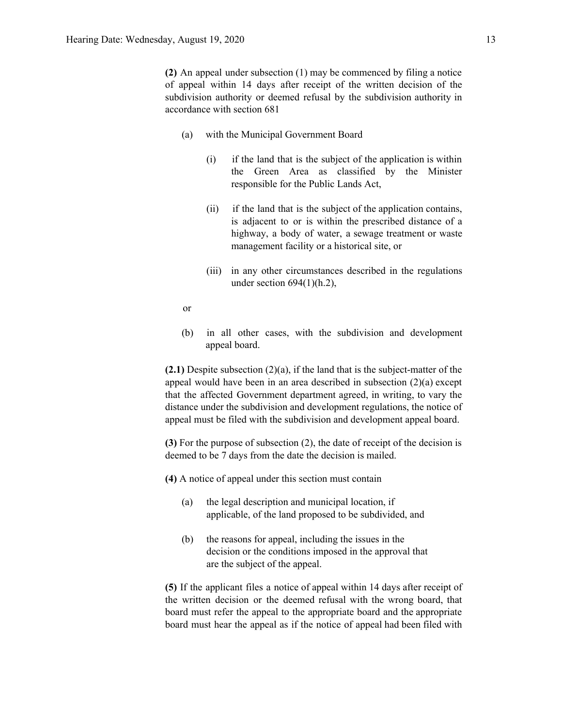**(2)** An appeal under subsection (1) may be commenced by filing a notice of appeal within 14 days after receipt of the written decision of the subdivision authority or deemed refusal by the subdivision authority in accordance with section 681

- (a) with the Municipal Government Board
	- (i) if the land that is the subject of the application is within the Green Area as classified by the Minister responsible for the Public Lands Act,
	- (ii) if the land that is the subject of the application contains, is adjacent to or is within the prescribed distance of a highway, a body of water, a sewage treatment or waste management facility or a historical site, or
	- (iii) in any other circumstances described in the regulations under section  $694(1)(h.2)$ ,
- or
- (b) in all other cases, with the subdivision and development appeal board.

**(2.1)** Despite subsection (2)(a), if the land that is the subject-matter of the appeal would have been in an area described in subsection (2)(a) except that the affected Government department agreed, in writing, to vary the distance under the subdivision and development regulations, the notice of appeal must be filed with the subdivision and development appeal board.

**(3)** For the purpose of subsection (2), the date of receipt of the decision is deemed to be 7 days from the date the decision is mailed.

**(4)** A notice of appeal under this section must contain

- (a) the legal description and municipal location, if applicable, of the land proposed to be subdivided, and
- (b) the reasons for appeal, including the issues in the decision or the conditions imposed in the approval that are the subject of the appeal.

**(5)** If the applicant files a notice of appeal within 14 days after receipt of the written decision or the deemed refusal with the wrong board, that board must refer the appeal to the appropriate board and the appropriate board must hear the appeal as if the notice of appeal had been filed with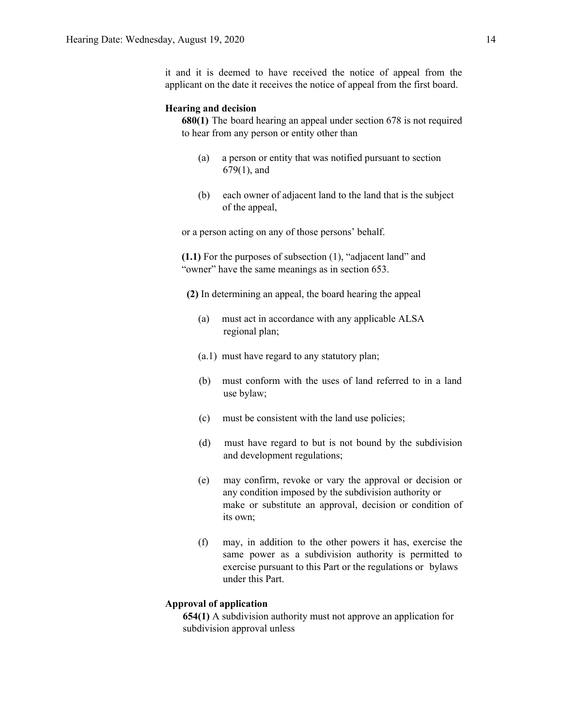it and it is deemed to have received the notice of appeal from the applicant on the date it receives the notice of appeal from the first board.

#### **Hearing and decision**

**680(1)** The board hearing an appeal under section 678 is not required to hear from any person or entity other than

- (a) a person or entity that was notified pursuant to section 679(1), and
- (b) each owner of adjacent land to the land that is the subject of the appeal,

or a person acting on any of those persons' behalf.

**(1.1)** For the purposes of subsection (1), "adjacent land" and "owner" have the same meanings as in section 653.

**(2)** In determining an appeal, the board hearing the appeal

- (a) must act in accordance with any applicable ALSA regional plan;
- (a.1) must have regard to any statutory plan;
- (b) must conform with the uses of land referred to in a land use bylaw;
- (c) must be consistent with the land use policies;
- (d) must have regard to but is not bound by the subdivision and development regulations;
- (e) may confirm, revoke or vary the approval or decision or any condition imposed by the subdivision authority or make or substitute an approval, decision or condition of its own;
- (f) may, in addition to the other powers it has, exercise the same power as a subdivision authority is permitted to exercise pursuant to this Part or the regulations or bylaws under this Part.

#### **Approval of application**

**654(1)** A subdivision authority must not approve an application for subdivision approval unless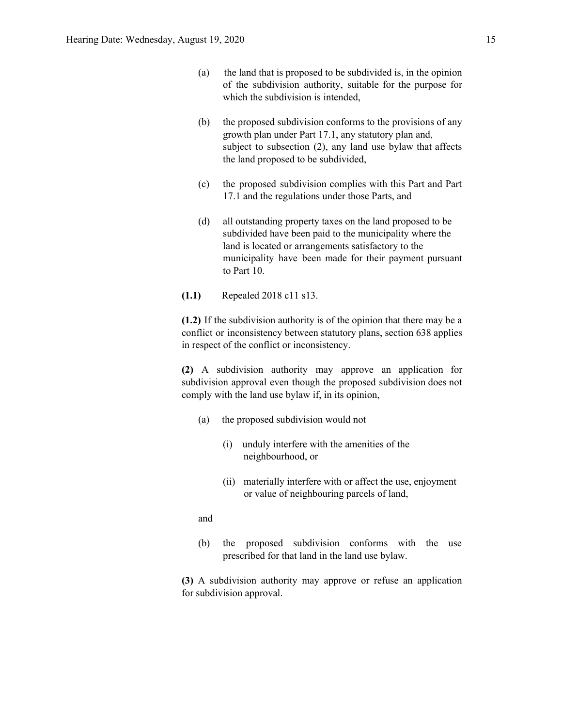- (a) the land that is proposed to be subdivided is, in the opinion of the subdivision authority, suitable for the purpose for which the subdivision is intended,
- (b) the proposed subdivision conforms to the provisions of any growth plan under Part 17.1, any statutory plan and, subject to subsection (2), any land use bylaw that affects the land proposed to be subdivided,
- (c) the proposed subdivision complies with this Part and Part 17.1 and the regulations under those Parts, and
- (d) all outstanding property taxes on the land proposed to be subdivided have been paid to the municipality where the land is located or arrangements satisfactory to the municipality have been made for their payment pursuant to Part 10.
- **(1.1)** Repealed 2018 c11 s13.

**(1.2)** If the subdivision authority is of the opinion that there may be a conflict or inconsistency between statutory plans, section 638 applies in respect of the conflict or inconsistency.

**(2)** A subdivision authority may approve an application for subdivision approval even though the proposed subdivision does not comply with the land use bylaw if, in its opinion,

- (a) the proposed subdivision would not
	- (i) unduly interfere with the amenities of the neighbourhood, or
	- (ii) materially interfere with or affect the use, enjoyment or value of neighbouring parcels of land,

and

(b) the proposed subdivision conforms with the use prescribed for that land in the land use bylaw.

**(3)** A subdivision authority may approve or refuse an application for subdivision approval.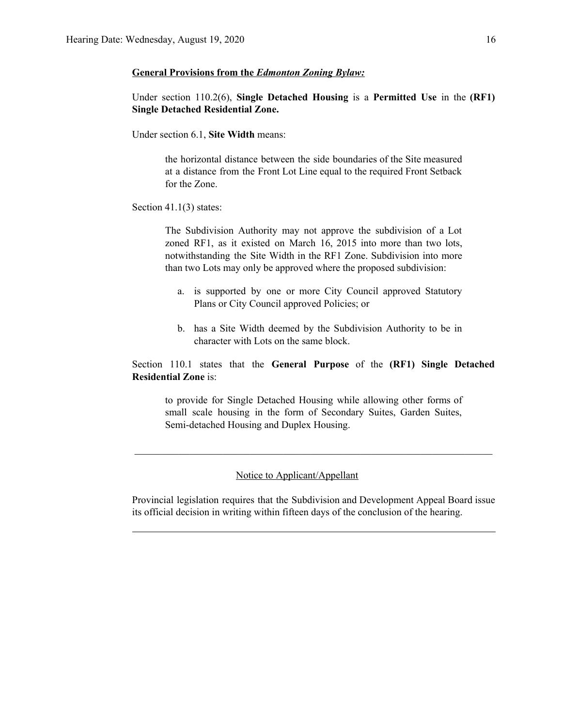#### **General Provisions from the** *Edmonton Zoning Bylaw:*

Under section 110.2(6), **Single Detached Housing** is a **Permitted Use** in the **(RF1) Single Detached Residential Zone.**

Under section 6.1, **Site Width** means:

the horizontal distance between the side boundaries of the Site measured at a distance from the Front Lot Line equal to the required Front Setback for the Zone.

#### Section 41.1(3) states:

The Subdivision Authority may not approve the subdivision of a Lot zoned RF1, as it existed on March 16, 2015 into more than two lots, notwithstanding the Site Width in the RF1 Zone. Subdivision into more than two Lots may only be approved where the proposed subdivision:

- a. is supported by one or more City Council approved Statutory Plans or City Council approved Policies; or
- b. has a Site Width deemed by the Subdivision Authority to be in character with Lots on the same block.

Section 110.1 states that the **General Purpose** of the **(RF1) Single Detached Residential Zone** is:

to provide for Single Detached Housing while allowing other forms of small scale housing in the form of Secondary Suites, Garden Suites, Semi-detached Housing and Duplex Housing.

 $\mathcal{L}_\text{max}$  , and the contribution of the contribution of the contribution of the contribution of the contribution of the contribution of the contribution of the contribution of the contribution of the contribution of t

### Notice to Applicant/Appellant

Provincial legislation requires that the Subdivision and Development Appeal Board issue its official decision in writing within fifteen days of the conclusion of the hearing.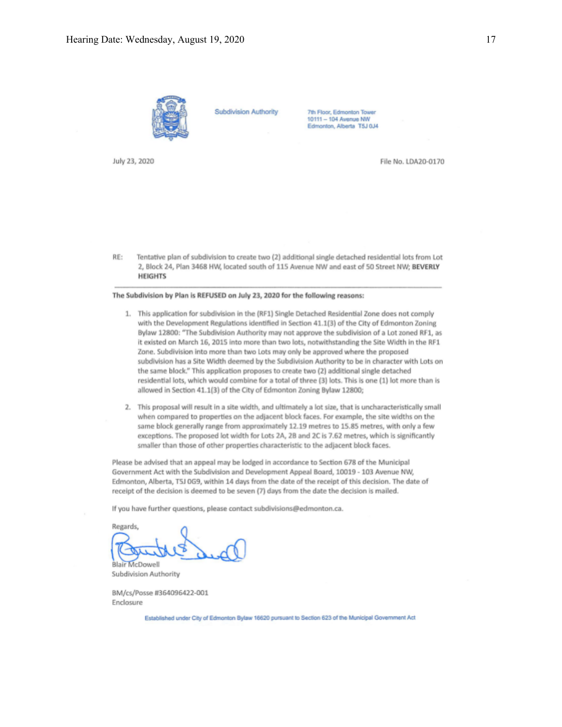

**Subdivision Authority** 

7th Floor, Edmonton Tower<br>10111 - 104 Avenue NW Edmonton, Alberta T5J 0J4

July 23, 2020

File No. LDA20-0170

RE: Tentative plan of subdivision to create two (2) additional single detached residential lots from Lot 2, Block 24, Plan 3468 HW, located south of 115 Avenue NW and east of 50 Street NW; BEVERLY **HEIGHTS** 

#### The Subdivision by Plan is REFUSED on July 23, 2020 for the following reasons:

- 1. This application for subdivision in the (RF1) Single Detached Residential Zone does not comply with the Development Regulations identified in Section 41.1(3) of the City of Edmonton Zoning Bylaw 12800: "The Subdivision Authority may not approve the subdivision of a Lot zoned RF1, as it existed on March 16, 2015 into more than two lots, notwithstanding the Site Width in the RF1 Zone. Subdivision into more than two Lots may only be approved where the proposed subdivision has a Site Width deemed by the Subdivision Authority to be in character with Lots on the same block." This application proposes to create two (2) additional single detached residential lots, which would combine for a total of three (3) lots. This is one (1) lot more than is allowed in Section 41.1(3) of the City of Edmonton Zoning Bylaw 12800;
- 2. This proposal will result in a site width, and ultimately a lot size, that is uncharacteristically small when compared to properties on the adjacent block faces. For example, the site widths on the same block generally range from approximately 12.19 metres to 15.85 metres, with only a few exceptions. The proposed lot width for Lots 2A, 2B and 2C is 7.62 metres, which is significantly smaller than those of other properties characteristic to the adjacent block faces.

Please be advised that an appeal may be lodged in accordance to Section 678 of the Municipal Government Act with the Subdivision and Development Appeal Board, 10019 - 103 Avenue NW, Edmonton, Alberta, T5J 0G9, within 14 days from the date of the receipt of this decision. The date of receipt of the decision is deemed to be seven (7) days from the date the decision is mailed.

If you have further questions, please contact subdivisions@edmonton.ca.

Regards, **Blair McDowell** 

Subdivision Authority

BM/cs/Posse #364096422-001 Enclosure

Established under City of Edmonton Bylaw 16620 pursuant to Section 623 of the Municipal Government Act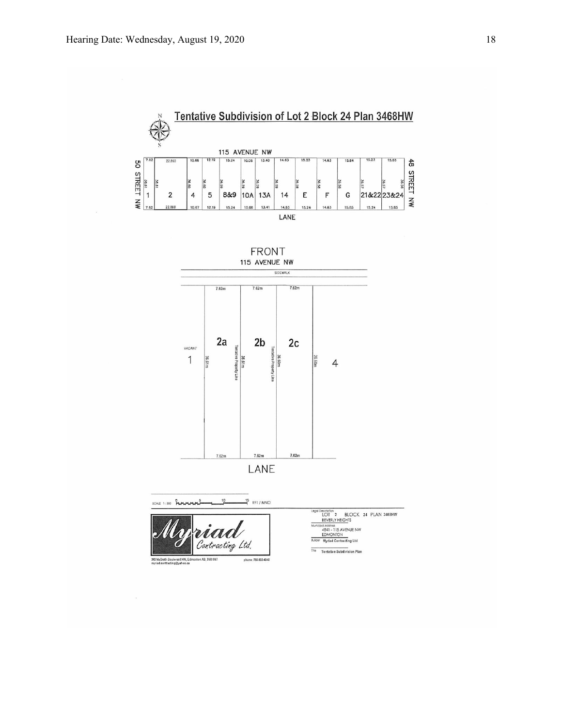





 $\frac{15}{1}$  RF1 / MNO SCALE

riaa Contracting Ltd. phone: 780-893-4048 .<br>340 MaGrath Boulevard NW, Edmonton AB, T6R 0M7<br>myriad.contracting@yahoo.ca

Description<br>LOT 2 BLOCK 24 PLAN 3468HW<br>BEVERLY HEIGHTS od Address<br>Address<br>EDMONTON<br>Hyriad Contracting Ltd  $\overline{z}$ 

 $\frac{1}{100}$ Tentative Subdivision Plan